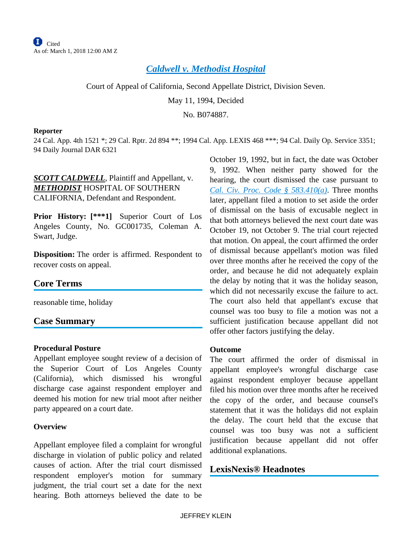# *[Caldwell v. Methodist Hospital](https://advance.lexis.com/api/document?collection=cases&id=urn:contentItem:3RX6-G4J0-003D-J11Y-00000-00&context=)*

Court of Appeal of California, Second Appellate District, Division Seven.

May 11, 1994, Decided

No. B074887.

#### **Reporter**

24 Cal. App. 4th 1521 \*; 29 Cal. Rptr. 2d 894 \*\*; 1994 Cal. App. LEXIS 468 \*\*\*; 94 Cal. Daily Op. Service 3351; 94 Daily Journal DAR 6321

*SCOTT CALDWELL*, Plaintiff and Appellant, v. *METHODIST* HOSPITAL OF SOUTHERN CALIFORNIA, Defendant and Respondent.

**Prior History: [\*\*\*1]** Superior Court of Los Angeles County, No. GC001735, Coleman A. Swart, Judge.

**Disposition:** The order is affirmed. Respondent to recover costs on appeal.

### **Core Terms**

reasonable time, holiday

### **Case Summary**

### **Procedural Posture**

Appellant employee sought review of a decision of the Superior Court of Los Angeles County (California), which dismissed his wrongful discharge case against respondent employer and deemed his motion for new trial moot after neither party appeared on a court date.

### **Overview**

Appellant employee filed a complaint for wrongful discharge in violation of public policy and related causes of action. After the trial court dismissed respondent employer's motion for summary judgment, the trial court set a date for the next hearing. Both attorneys believed the date to be

October 19, 1992, but in fact, the date was October 9, 1992. When neither party showed for the hearing, the court dismissed the case pursuant to *[Cal. Civ. Proc. Code § 583.410\(a\)](https://advance.lexis.com/api/document?collection=statutes-legislation&id=urn:contentItem:5J6R-DJB1-66B9-80XX-00000-00&context=)*. Three months later, appellant filed a motion to set aside the order of dismissal on the basis of excusable neglect in that both attorneys believed the next court date was October 19, not October 9. The trial court rejected that motion. On appeal, the court affirmed the order of dismissal because appellant's motion was filed over three months after he received the copy of the order, and because he did not adequately explain the delay by noting that it was the holiday season, which did not necessarily excuse the failure to act. The court also held that appellant's excuse that counsel was too busy to file a motion was not a sufficient justification because appellant did not offer other factors justifying the delay.

#### **Outcome**

The court affirmed the order of dismissal in appellant employee's wrongful discharge case against respondent employer because appellant filed his motion over three months after he received the copy of the order, and because counsel's statement that it was the holidays did not explain the delay. The court held that the excuse that counsel was too busy was not a sufficient justification because appellant did not offer additional explanations.

## **LexisNexis® Headnotes**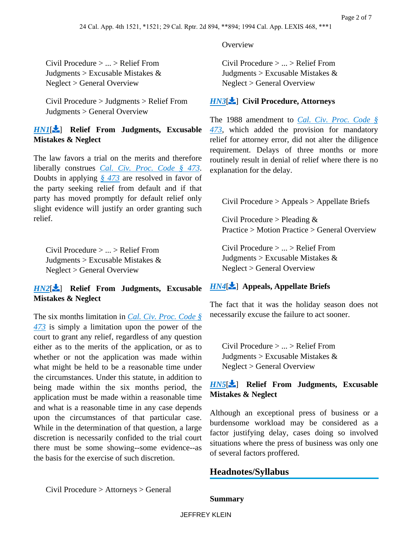**Overview** 

Civil Procedure > ... > Relief From Judgments  $>$  Excusable Mistakes  $\&$ Neglect > General Overview

### *[HN3](https://advance.lexis.com/api/document?collection=cases&id=urn:contentItem:3RX6-G4J0-003D-J11Y-00000-00&context=&link=LNHNREFclscc3)*[ ] **Civil Procedure, Attorneys**

The 1988 amendment to *[Cal. Civ. Proc. Code §](https://advance.lexis.com/api/document?collection=statutes-legislation&id=urn:contentItem:5J6R-DHB1-66B9-844N-00000-00&context=)  [473](https://advance.lexis.com/api/document?collection=statutes-legislation&id=urn:contentItem:5J6R-DHB1-66B9-844N-00000-00&context=)*, which added the provision for mandatory relief for attorney error, did not alter the diligence requirement. Delays of three months or more routinely result in denial of relief where there is no explanation for the delay.

<span id="page-1-2"></span>Civil Procedure > Appeals > Appellate Briefs

Civil Procedure > Pleading  $&$ Practice > Motion Practice > General Overview

Civil Procedure > ... > Relief From Judgments  $>$  Excusable Mistakes  $\&$ Neglect > General Overview

## *[HN4](https://advance.lexis.com/api/document?collection=cases&id=urn:contentItem:3RX6-G4J0-003D-J11Y-00000-00&context=&link=LNHNREFclscc4)*[ ] **Appeals, Appellate Briefs**

<span id="page-1-3"></span>The fact that it was the holiday season does not necessarily excuse the failure to act sooner.

Civil Procedure > ... > Relief From Judgments > Excusable Mistakes  $&$ Neglect > General Overview

## *[HN5](https://advance.lexis.com/api/document?collection=cases&id=urn:contentItem:3RX6-G4J0-003D-J11Y-00000-00&context=&link=LNHNREFclscc5)*[ ] **Relief From Judgments, Excusable Mistakes & Neglect**

Although an exceptional press of business or a burdensome workload may be considered as a factor justifying delay, cases doing so involved situations where the press of business was only one of several factors proffered.

## **Headnotes/Syllabus**

Civil Procedure > Attorneys > General

<span id="page-1-1"></span>the basis for the exercise of such discretion.

<span id="page-1-0"></span>Civil Procedure > ... > Relief From Judgments  $>$  Excusable Mistakes  $\&$ 

Civil Procedure > Judgments > Relief From

*[HN1](https://advance.lexis.com/api/document?collection=cases&id=urn:contentItem:3RX6-G4J0-003D-J11Y-00000-00&context=&link=LNHNREFclscc1)*[ ] **Relief From Judgments, Excusable** 

The law favors a trial on the merits and therefore liberally construes *[Cal. Civ. Proc. Code § 473](https://advance.lexis.com/api/document?collection=statutes-legislation&id=urn:contentItem:5J6R-DHB1-66B9-844N-00000-00&context=)*. Doubts in applying *[§ 473](https://advance.lexis.com/api/document?collection=statutes-legislation&id=urn:contentItem:5J6R-DHB1-66B9-844N-00000-00&context=)* are resolved in favor of the party seeking relief from default and if that party has moved promptly for default relief only slight evidence will justify an order granting such

Civil Procedure > ... > Relief From Judgments  $>$  Excusable Mistakes  $\&$ 

*[HN2](https://advance.lexis.com/api/document?collection=cases&id=urn:contentItem:3RX6-G4J0-003D-J11Y-00000-00&context=&link=LNHNREFclscc2)*[ ] **Relief From Judgments, Excusable** 

The six months limitation in *[Cal. Civ. Proc. Code §](https://advance.lexis.com/api/document?collection=statutes-legislation&id=urn:contentItem:5J6R-DHB1-66B9-844N-00000-00&context=)  [473](https://advance.lexis.com/api/document?collection=statutes-legislation&id=urn:contentItem:5J6R-DHB1-66B9-844N-00000-00&context=)* is simply a limitation upon the power of the court to grant any relief, regardless of any question either as to the merits of the application, or as to whether or not the application was made within what might be held to be a reasonable time under the circumstances. Under this statute, in addition to being made within the six months period, the application must be made within a reasonable time and what is a reasonable time in any case depends upon the circumstances of that particular case. While in the determination of that question, a large discretion is necessarily confided to the trial court there must be some showing--some evidence--as

Neglect > General Overview

**Mistakes & Neglect**

Neglect > General Overview

Judgments > General Overview

**Mistakes & Neglect**

relief.

### **Summary**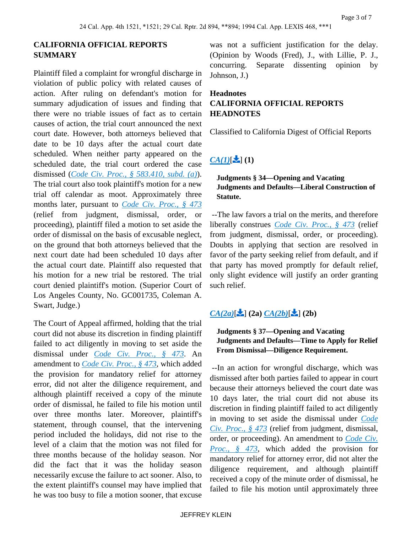## **CALIFORNIA OFFICIAL REPORTS SUMMARY**

Plaintiff filed a complaint for wrongful discharge in violation of public policy with related causes of action. After ruling on defendant's motion for summary adjudication of issues and finding that there were no triable issues of fact as to certain causes of action, the trial court announced the next court date. However, both attorneys believed that date to be 10 days after the actual court date scheduled. When neither party appeared on the scheduled date, the trial court ordered the case dismissed (*[Code Civ. Proc., § 583.410, subd. \(a\)](https://advance.lexis.com/api/document?collection=statutes-legislation&id=urn:contentItem:5J6R-DJB1-66B9-80XX-00000-00&context=)*). The trial court also took plaintiff's motion for a new trial off calendar as moot. Approximately three months later, pursuant to *[Code Civ. Proc., § 473](https://advance.lexis.com/api/document?collection=statutes-legislation&id=urn:contentItem:5J6R-DHB1-66B9-844N-00000-00&context=)* (relief from judgment, dismissal, order, or proceeding), plaintiff filed a motion to set aside the order of dismissal on the basis of excusable neglect, on the ground that both attorneys believed that the next court date had been scheduled 10 days after the actual court date. Plaintiff also requested that his motion for a new trial be restored. The trial court denied plaintiff's motion. (Superior Court of Los Angeles County, No. GC001735, Coleman A. Swart, Judge.)

The Court of Appeal affirmed, holding that the trial court did not abuse its discretion in finding plaintiff failed to act diligently in moving to set aside the dismissal under *[Code Civ. Proc., § 473](https://advance.lexis.com/api/document?collection=statutes-legislation&id=urn:contentItem:5J6R-DHB1-66B9-844N-00000-00&context=)*. An amendment to *[Code Civ. Proc., § 473](https://advance.lexis.com/api/document?collection=statutes-legislation&id=urn:contentItem:5J6R-DHB1-66B9-844N-00000-00&context=)*, which added the provision for mandatory relief for attorney error, did not alter the diligence requirement, and although plaintiff received a copy of the minute order of dismissal, he failed to file his motion until over three months later. Moreover, plaintiff's statement, through counsel, that the intervening period included the holidays, did not rise to the level of a claim that the motion was not filed for three months because of the holiday season. Nor did the fact that it was the holiday season necessarily excuse the failure to act sooner. Also, to the extent plaintiff's counsel may have implied that he was too busy to file a motion sooner, that excuse

was not a sufficient justification for the delay. (Opinion by Woods (Fred), J., with Lillie, P. J., concurring. Separate dissenting opinion by Johnson, J.)

## **Headnotes CALIFORNIA OFFICIAL REPORTS HEADNOTES**

Classified to California Digest of Official Reports

# $CA(1)[\bullet]$  $CA(1)[\bullet]$  (1)

### **Judgments § 34—Opening and Vacating Judgments and Defaults—Liberal Construction of Statute.**

 --The law favors a trial on the merits, and therefore liberally construes *[Code Civ. Proc., § 473](https://advance.lexis.com/api/document?collection=statutes-legislation&id=urn:contentItem:5J6R-DHB1-66B9-844N-00000-00&context=)* (relief from judgment, dismissal, order, or proceeding). Doubts in applying that section are resolved in favor of the party seeking relief from default, and if that party has moved promptly for default relief, only slight evidence will justify an order granting such relief.

# $CA(2a)[\triangleq] (2a) CA(2b)[\triangleq] (2b)$  $CA(2a)[\triangleq] (2a) CA(2b)[\triangleq] (2b)$  $CA(2a)[\triangleq] (2a) CA(2b)[\triangleq] (2b)$  $CA(2a)[\triangleq] (2a) CA(2b)[\triangleq] (2b)$  $CA(2a)[\triangleq] (2a) CA(2b)[\triangleq] (2b)$

### **Judgments § 37—Opening and Vacating Judgments and Defaults—Time to Apply for Relief From Dismissal—Diligence Requirement.**

 --In an action for wrongful discharge, which was dismissed after both parties failed to appear in court because their attorneys believed the court date was 10 days later, the trial court did not abuse its discretion in finding plaintiff failed to act diligently in moving to set aside the dismissal under *[Code](https://advance.lexis.com/api/document?collection=statutes-legislation&id=urn:contentItem:5J6R-DHB1-66B9-844N-00000-00&context=)  [Civ. Proc., § 473](https://advance.lexis.com/api/document?collection=statutes-legislation&id=urn:contentItem:5J6R-DHB1-66B9-844N-00000-00&context=)* (relief from judgment, dismissal, order, or proceeding). An amendment to *[Code Civ.](https://advance.lexis.com/api/document?collection=statutes-legislation&id=urn:contentItem:5J6R-DHB1-66B9-844N-00000-00&context=)  [Proc., § 473](https://advance.lexis.com/api/document?collection=statutes-legislation&id=urn:contentItem:5J6R-DHB1-66B9-844N-00000-00&context=)*, which added the provision for mandatory relief for attorney error, did not alter the diligence requirement, and although plaintiff received a copy of the minute order of dismissal, he failed to file his motion until approximately three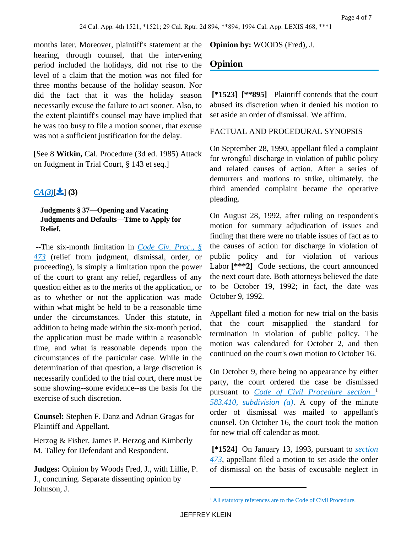months later. Moreover, plaintiff's statement at the hearing, through counsel, that the intervening period included the holidays, did not rise to the level of a claim that the motion was not filed for three months because of the holiday season. Nor did the fact that it was the holiday season necessarily excuse the failure to act sooner. Also, to the extent plaintiff's counsel may have implied that he was too busy to file a motion sooner, that excuse was not a sufficient justification for the delay.

[See 8 **Witkin,** Cal. Procedure (3d ed. 1985) Attack on Judgment in Trial Court, § 143 et seq.]

# $CA(3)[2]$  $CA(3)[2]$  (3)

### **Judgments § 37—Opening and Vacating Judgments and Defaults—Time to Apply for Relief.**

 --The six-month limitation in *[Code Civ. Proc., §](https://advance.lexis.com/api/document?collection=statutes-legislation&id=urn:contentItem:5J6R-DHB1-66B9-844N-00000-00&context=)  [473](https://advance.lexis.com/api/document?collection=statutes-legislation&id=urn:contentItem:5J6R-DHB1-66B9-844N-00000-00&context=)* (relief from judgment, dismissal, order, or proceeding), is simply a limitation upon the power of the court to grant any relief, regardless of any question either as to the merits of the application, or as to whether or not the application was made within what might be held to be a reasonable time under the circumstances. Under this statute, in addition to being made within the six-month period, the application must be made within a reasonable time, and what is reasonable depends upon the circumstances of the particular case. While in the determination of that question, a large discretion is necessarily confided to the trial court, there must be some showing--some evidence--as the basis for the exercise of such discretion.

**Counsel:** Stephen F. Danz and Adrian Gragas for Plaintiff and Appellant.

Herzog & Fisher, James P. Herzog and Kimberly M. Talley for Defendant and Respondent.

**Judges:** Opinion by Woods Fred, J., with Lillie, P. J., concurring. Separate dissenting opinion by Johnson, J.

**Opinion by:** WOODS (Fred), J.

# **Opinion**

 **[\*1523] [\*\*895]** Plaintiff contends that the court abused its discretion when it denied his motion to set aside an order of dismissal. We affirm.

### FACTUAL AND PROCEDURAL SYNOPSIS

On September 28, 1990, appellant filed a complaint for wrongful discharge in violation of public policy and related causes of action. After a series of demurrers and motions to strike, ultimately, the third amended complaint became the operative pleading.

On August 28, 1992, after ruling on respondent's motion for summary adjudication of issues and finding that there were no triable issues of fact as to the causes of action for discharge in violation of public policy and for violation of various Labor<sup>[\*\*\*</sup>2] Code sections, the court announced the next court date. Both attorneys believed the date to be October 19, 1992; in fact, the date was October 9, 1992.

Appellant filed a motion for new trial on the basis that the court misapplied the standard for termination in violation of public policy. The motion was calendared for October 2, and then continued on the court's own motion to October 16.

On October 9, there being no appearance by either party, the court ordered the case be dismissed pursuant to *[Code of Civil Procedure section](https://advance.lexis.com/api/document?collection=statutes-legislation&id=urn:contentItem:5J6R-DJB1-66B9-80XX-00000-00&context=)* <sup>1</sup> *[583.410, subdivision \(a\)](https://advance.lexis.com/api/document?collection=statutes-legislation&id=urn:contentItem:5J6R-DJB1-66B9-80XX-00000-00&context=)*. A copy of the minute order of dismissal was mailed to appellant's counsel. On October 16, the court took the motion for new trial off calendar as moot.

 **[\*1524]** On January 13, 1993, pursuant to *[section](https://advance.lexis.com/api/document?collection=statutes-legislation&id=urn:contentItem:5J6R-DHB1-66B9-844N-00000-00&context=)  [473](https://advance.lexis.com/api/document?collection=statutes-legislation&id=urn:contentItem:5J6R-DHB1-66B9-844N-00000-00&context=)*, appellant filed a motion to set aside the order of dismissal on the basis of excusable neglect in

<sup>&</sup>lt;sup>1</sup> [All statutory references are to the Code of Civil Procedure.](https://advance.lexis.com/api/document?collection=statutes-legislation&id=urn:contentItem:5J6R-DJB1-66B9-80XX-00000-00&context=)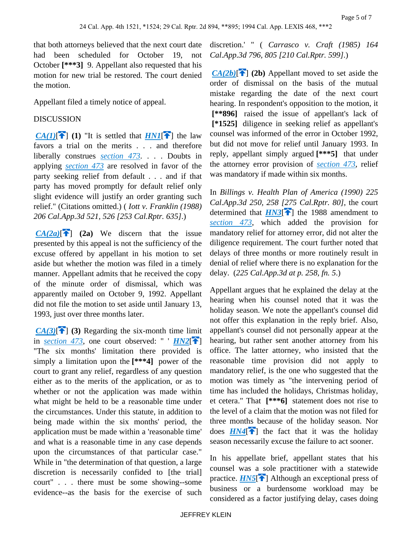that both attorneys believed that the next court date had been scheduled for October 19, not October **[\*\*\*3]** 9. Appellant also requested that his motion for new trial be restored. The court denied the motion.

Appellant filed a timely notice of appeal.

### DISCUSSION

*[CA\(1\)](https://advance.lexis.com/api/document?collection=cases&id=urn:contentItem:3RX6-G4J0-003D-J11Y-00000-00&context=&link=CA4)* $[$ **1** (1) "It is settled that *[HN1](https://advance.lexis.com/api/document?collection=cases&id=urn:contentItem:3RX6-G4J0-003D-J11Y-00000-00&context=&link=CLSCC1)* $[$ **f** $]$  the law favors a trial on the merits . . . and therefore liberally construes *[section 473](https://advance.lexis.com/api/document?collection=statutes-legislation&id=urn:contentItem:5J6R-DHB1-66B9-844N-00000-00&context=)*. . . . Doubts in applying *[section 473](https://advance.lexis.com/api/document?collection=statutes-legislation&id=urn:contentItem:5J6R-DHB1-66B9-844N-00000-00&context=)* are resolved in favor of the party seeking relief from default . . . and if that party has moved promptly for default relief only slight evidence will justify an order granting such relief." (Citations omitted.) ( *Iott v. Franklin (1988) 206 Cal.App.3d 521, 526 [253 Cal.Rptr. 635]*.)

 $CA(2a)$ <sup>[14]</sup> (2a) We discern that the issue presented by this appeal is not the sufficiency of the excuse offered by appellant in his motion to set aside but whether the motion was filed in a timely manner. Appellant admits that he received the copy of the minute order of dismissal, which was apparently mailed on October 9, 1992. Appellant did not file the motion to set aside until January 13, 1993, just over three months later.

 $CA(3)[\widehat{ }]$  $CA(3)[\widehat{ }]$  (3) Regarding the six-month time limit in *[section 473](https://advance.lexis.com/api/document?collection=statutes-legislation&id=urn:contentItem:5J6R-DHB1-66B9-844N-00000-00&context=)*, one court observed: "  $H N2$ <sup>[ $\uparrow$ </sup>] "The six months' limitation there provided is simply a limitation upon the **[\*\*\*4]** power of the court to grant any relief, regardless of any question either as to the merits of the application, or as to whether or not the application was made within what might be held to be a reasonable time under the circumstances. Under this statute, in addition to being made within the six months' period, the application must be made within a 'reasonable time' and what is a reasonable time in any case depends upon the circumstances of that particular case." While in "the determination of that question, a large discretion is necessarily confided to [the trial] court" . . . there must be some showing--some evidence--as the basis for the exercise of such discretion.' " ( *Carrasco v. Craft (1985) 164 Cal.App.3d 796, 805 [210 Cal.Rptr. 599]*.)

<span id="page-4-0"></span> $CA(2b)[\hat{ } \bullet ]$  $CA(2b)[\hat{ } \bullet ]$  (2b) Appellant moved to set aside the order of dismissal on the basis of the mutual mistake regarding the date of the next court hearing. In respondent's opposition to the motion, it  **[\*\*896]** raised the issue of appellant's lack of  **[\*1525]** diligence in seeking relief as appellant's counsel was informed of the error in October 1992, but did not move for relief until January 1993. In reply, appellant simply argued **[\*\*\*5]** that under the attorney error provision of *[section 473](https://advance.lexis.com/api/document?collection=statutes-legislation&id=urn:contentItem:5J6R-DHB1-66B9-844N-00000-00&context=)*, relief was mandatory if made within six months.

In *Billings v. Health Plan of America (1990) 225 Cal.App.3d 250, 258 [275 Cal.Rptr. 80]*, the court determined that  $H N3$ <sup>[\[](#page-1-1)2]</sup> the 1988 amendment to *[section 473](https://advance.lexis.com/api/document?collection=statutes-legislation&id=urn:contentItem:5J6R-DHB1-66B9-844N-00000-00&context=)*, which added the provision for mandatory relief for attorney error, did not alter the diligence requirement. The court further noted that delays of three months or more routinely result in denial of relief where there is no explanation for the delay. (*225 Cal.App.3d at p. 258, fn. 5*.)

Appellant argues that he explained the delay at the hearing when his counsel noted that it was the holiday season. We note the appellant's counsel did not offer this explanation in the reply brief. Also, appellant's counsel did not personally appear at the hearing, but rather sent another attorney from his office. The latter attorney, who insisted that the reasonable time provision did not apply to mandatory relief, is the one who suggested that the motion was timely as "the intervening period of time has included the holidays, Christmas holiday, et cetera." That **[\*\*\*6]** statement does not rise to the level of a claim that the motion was not filed for three months because of the holiday season. Nor does  $HN4$ <sup>[\[](#page-1-2) $\uparrow$ </sup>] the fact that it was the holiday season necessarily excuse the failure to act sooner.

In his appellate brief, appellant states that his counsel was a sole practitioner with a statewide practice.  $H\overline{NS}$  Although an exceptional press of business or a burdensome workload may be considered as a factor justifying delay, cases doing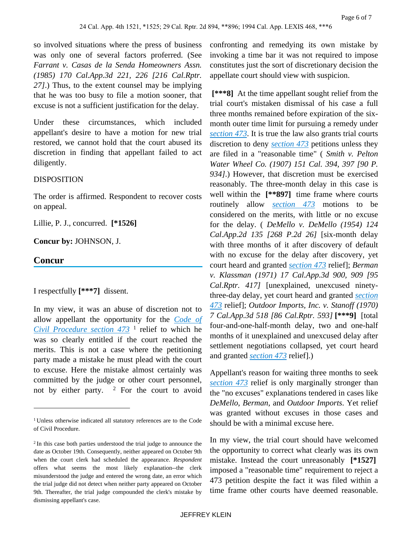so involved situations where the press of business was only one of several factors proferred. (See *Farrant v. Casas de la Senda Homeowners Assn. (1985) 170 Cal.App.3d 221, 226 [216 Cal.Rptr. 27]*.) Thus, to the extent counsel may be implying that he was too busy to file a motion sooner, that excuse is not a sufficient justification for the delay.

Under these circumstances, which included appellant's desire to have a motion for new trial restored, we cannot hold that the court abused its discretion in finding that appellant failed to act diligently.

### DISPOSITION

The order is affirmed. Respondent to recover costs on appeal.

Lillie, P. J., concurred. **[\*1526]** 

### **Concur by:** JOHNSON, J.

### **Concur**

I respectfully **[\*\*\*7]** dissent.

In my view, it was an abuse of discretion not to allow appellant the opportunity for the *[Code of](https://advance.lexis.com/api/document?collection=statutes-legislation&id=urn:contentItem:5J6R-DHB1-66B9-844N-00000-00&context=)  [Civil Procedure section 473](https://advance.lexis.com/api/document?collection=statutes-legislation&id=urn:contentItem:5J6R-DHB1-66B9-844N-00000-00&context=)* <sup>1</sup> relief to which he was so clearly entitled if the court reached the merits. This is not a case where the petitioning party made a mistake he must plead with the court to excuse. Here the mistake almost certainly was committed by the judge or other court personnel, not by either party.  $2$  For the court to avoid

confronting and remedying its own mistake by invoking a time bar it was not required to impose constitutes just the sort of discretionary decision the appellate court should view with suspicion.

 **[\*\*\*8]** At the time appellant sought relief from the trial court's mistaken dismissal of his case a full three months remained before expiration of the sixmonth outer time limit for pursuing a remedy under *[section 473](https://advance.lexis.com/api/document?collection=statutes-legislation&id=urn:contentItem:5J6R-DHB1-66B9-844N-00000-00&context=)*. It is true the law also grants trial courts discretion to deny *[section 473](https://advance.lexis.com/api/document?collection=statutes-legislation&id=urn:contentItem:5J6R-DHB1-66B9-844N-00000-00&context=)* petitions unless they are filed in a "reasonable time" ( *Smith v. Pelton Water Wheel Co. (1907) 151 Cal. 394, 397 [90 P. 934]*.) However, that discretion must be exercised reasonably. The three-month delay in this case is well within the **[\*\*897]** time frame where courts routinely allow *[section 473](https://advance.lexis.com/api/document?collection=statutes-legislation&id=urn:contentItem:5J6R-DHB1-66B9-844N-00000-00&context=)* motions to be considered on the merits, with little or no excuse for the delay. ( *DeMello v. DeMello (1954) 124 Cal.App.2d 135 [268 P.2d 26]* [six-month delay with three months of it after discovery of default with no excuse for the delay after discovery, yet court heard and granted *[section 473](https://advance.lexis.com/api/document?collection=statutes-legislation&id=urn:contentItem:5J6R-DHB1-66B9-844N-00000-00&context=)* relief]; *Berman v. Klassman (1971) 17 Cal.App.3d 900, 909 [95 Cal.Rptr. 417]* [unexplained, unexcused ninetythree-day delay, yet court heard and granted *[section](https://advance.lexis.com/api/document?collection=statutes-legislation&id=urn:contentItem:5J6R-DHB1-66B9-844N-00000-00&context=)  [473](https://advance.lexis.com/api/document?collection=statutes-legislation&id=urn:contentItem:5J6R-DHB1-66B9-844N-00000-00&context=)* relief]; *Outdoor Imports, Inc. v. Stanoff (1970) 7 Cal.App.3d 518 [86 Cal.Rptr. 593]* **[\*\*\*9]** [total four-and-one-half-month delay, two and one-half months of it unexplained and unexcused delay after settlement negotiations collapsed, yet court heard and granted *[section 473](https://advance.lexis.com/api/document?collection=statutes-legislation&id=urn:contentItem:5J6R-DHB1-66B9-844N-00000-00&context=)* relief].)

Appellant's reason for waiting three months to seek *[section 473](https://advance.lexis.com/api/document?collection=statutes-legislation&id=urn:contentItem:5J6R-DHB1-66B9-844N-00000-00&context=)* relief is only marginally stronger than the "no excuses" explanations tendered in cases like *DeMello*, *Berman*, and *Outdoor Imports*. Yet relief was granted without excuses in those cases and should be with a minimal excuse here.

In my view, the trial court should have welcomed the opportunity to correct what clearly was its own mistake. Instead the court unreasonably **[\*1527]**  imposed a "reasonable time" requirement to reject a 473 petition despite the fact it was filed within a time frame other courts have deemed reasonable.

<sup>&</sup>lt;sup>1</sup> Unless otherwise indicated all statutory references are to the Code of Civil Procedure.

<sup>2</sup>In this case both parties understood the trial judge to announce the date as October 19th. Consequently, neither appeared on October 9th when the court clerk had scheduled the appearance. *Respondent* offers what seems the most likely explanation--the clerk misunderstood the judge and entered the wrong date, an error which the trial judge did not detect when neither party appeared on October 9th. Thereafter, the trial judge compounded the clerk's mistake by dismissing appellant's case.